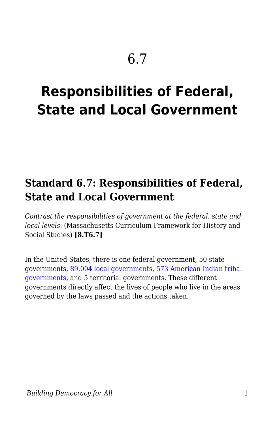# **Responsibilities of Federal, State and Local Government**

## **Standard 6.7: Responsibilities of Federal, State and Local Government**

*Contrast the responsibilities of government at the federal, state and local levels.* (Massachusetts Curriculum Framework for History and Social Studies) **[8.T6.7]**

In the United States, there is one federal government, 50 state governments, [89,004 local governments,](https://www.census.gov/newsroom/releases/archives/governments/cb12-161.html) [573 American Indian tribal](http://www.ncai.org/policy-issues/tribal-governance) [governments,](http://www.ncai.org/policy-issues/tribal-governance) and 5 territorial governments. These different governments directly affect the lives of people who live in the areas governed by the laws passed and the actions taken.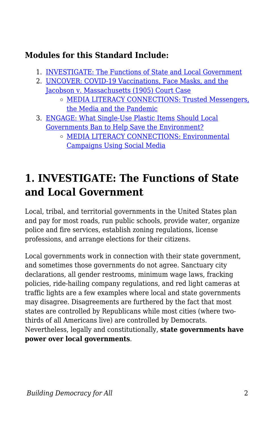## **Modules for this Standard Include:**

- 1. [INVESTIGATE: The Functions of State and Local Government](https://edtechbooks.org/democracy/responsibilities#h2_YIxow)
- 2. [UNCOVER: COVID-19 Vaccinations, Face Masks, and the](https://edtechbooks.org/democracy/responsibilities#h2_VHPvE) [Jacobson v. Massachusetts \(1905\) Court Case](https://edtechbooks.org/democracy/responsibilities#h2_VHPvE) [MEDIA LITERACY CONNECTIONS: Trusted Messengers,](https://edtechbooks.org/democracy/responsibilities#h3_IbwV) [the Media and the Pandemic](https://edtechbooks.org/democracy/responsibilities#h3_IbwV)
- 3. [ENGAGE: What Single-Use Plastic Items Should Local](https://edtechbooks.org/democracy/responsibilities#h2_wxnZQ) [Governments Ban to Help Save the Environment?](https://edtechbooks.org/democracy/responsibilities#h2_wxnZQ)
	- [MEDIA LITERACY CONNECTIONS: Environmental](https://edtechbooks.org/democracy/responsibilities#h3_cFAw) [Campaigns Using Social Media](https://edtechbooks.org/democracy/responsibilities#h3_cFAw)

## **1. INVESTIGATE: The Functions of State and Local Government**

Local, tribal, and territorial governments in the United States plan and pay for most roads, run public schools, provide water, organize police and fire services, establish zoning regulations, license professions, and arrange elections for their citizens.

Local governments work in connection with their state government, and sometimes those governments do not agree. Sanctuary city declarations, all gender restrooms, minimum wage laws, fracking policies, ride-hailing company regulations, and red light cameras at traffic lights are a few examples where local and state governments may disagree. Disagreements are furthered by the fact that most states are controlled by Republicans while most cities (where twothirds of all Americans live) are controlled by Democrats. Nevertheless, legally and constitutionally, **state governments have power over local governments**.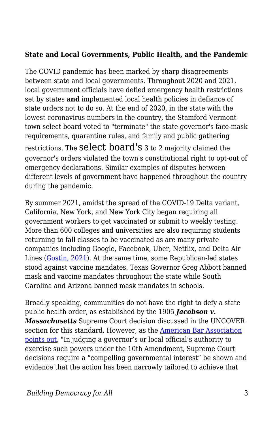#### **State and Local Governments, Public Health, and the Pandemic**

The COVID pandemic has been marked by sharp disagreements between state and local governments. Throughout 2020 and 2021, local government officials have defied emergency health restrictions set by states **and** implemented local health policies in defiance of state orders not to do so. At the end of 2020, in the state with the lowest coronavirus numbers in the country, the Stamford Vermont town select board voted to "terminate" the state governor's face-mask requirements, quarantine rules, and family and public gathering restrictions. The select board's 3 to 2 majority claimed the governor's orders violated the town's constitutional right to opt-out of emergency declarations. Similar examples of disputes between different levels of government have happened throughout the country during the pandemic.

By summer 2021, amidst the spread of the COVID-19 Delta variant, California, New York, and New York City began requiring all government workers to get vaccinated or submit to weekly testing. More than 600 colleges and universities are also requiring students returning to fall classes to be vaccinated as are many private companies including Google, Facebook, Uber, Netflix, and Delta Air Lines ([Gostin, 2021](https://www.scientificamerican.com/article/vaccine-mandates-are-lawful-effective-and-based-on-rock-solid-science/)). At the same time, some Republican-led states stood against vaccine mandates. Texas Governor Greg Abbott banned mask and vaccine mandates throughout the state while South Carolina and Arizona banned mask mandates in schools.

Broadly speaking, communities do not have the right to defy a state public health order, as established by the 1905 *Jacobson v. Massachusetts* Supreme Court decision discussed in the UNCOVER section for this standard. However, as the [American Bar Association](https://www.americanbar.org/news/abanews/publications/youraba/2020/youraba-may-2020/state-local-authority-during-covid/) [points out,](https://www.americanbar.org/news/abanews/publications/youraba/2020/youraba-may-2020/state-local-authority-during-covid/) "In judging a governor's or local official's authority to exercise such powers under the 10th Amendment, Supreme Court decisions require a "compelling governmental interest" be shown and evidence that the action has been narrowly tailored to achieve that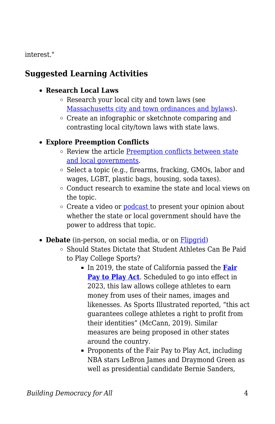interest."

## **Suggested Learning Activities**

#### **Research Local Laws**

- Research your local city and town laws (see [Massachusetts city and town ordinances and bylaws](https://www.mass.gov/guides/massachusetts-city-and-town-ordinances-and-bylaws)).
- Create an infographic or sketchnote comparing and contrasting local city/town laws with state laws.

### **Explore Preemption Conflicts**

- o Review the article [Preemption conflicts between state](https://ballotpedia.org/Preemption_conflicts_between_state_and_local_governments) [and local governments.](https://ballotpedia.org/Preemption_conflicts_between_state_and_local_governments)
- $\circ$  Select a topic (e.g., firearms, fracking, GMOs, labor and wages, LGBT, plastic bags, housing, soda taxes).
- Conduct research to examine the state and local views on the topic.
- Create a video or [podcast](https://docs.google.com/document/d/1YMVhXBhqUU4qDBLO1jYNpMG0IzAl_YLSJ3OndOm6C6k/edit?usp=sharing) to present your opinion about whether the state or local government should have the power to address that topic.
- **Debate** (in-person, on social media, or on **[Flipgrid](https://info.flipgrid.com/)**)
	- Should States Dictate that Student Athletes Can Be Paid to Play College Sports?
		- In 2019, the state of California passed the **[Fair](https://www.npr.org/2019/09/30/765834549/college-athletes-in-california-can-now-be-paid-under-fair-pay-to-play-act) [Pay to Play Act](https://www.npr.org/2019/09/30/765834549/college-athletes-in-california-can-now-be-paid-under-fair-pay-to-play-act).** Scheduled to go into effect in 2023, this law allows college athletes to earn money from uses of their names, images and likenesses. As Sports Illustrated reported, "this act guarantees college athletes a right to profit from their identities" (McCann, 2019). Similar measures are being proposed in other states around the country.
		- Proponents of the Fair Pay to Play Act, including NBA stars LeBron James and Draymond Green as well as presidential candidate Bernie Sanders,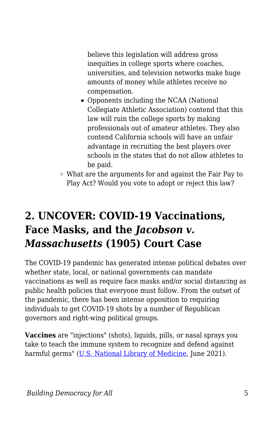believe this legislation will address gross inequities in college sports where coaches, universities, and television networks make huge amounts of money while athletes receive no compensation.

- Opponents including the NCAA (National Collegiate Athletic Association) contend that this law will ruin the college sports by making professionals out of amateur athletes. They also contend California schools will have an unfair advantage in recruiting the best players over schools in the states that do not allow athletes to be paid.
- What are the arguments for and against the Fair Pay to Play Act? Would you vote to adopt or reject this law?

## **2. UNCOVER: COVID-19 Vaccinations, Face Masks, and the** *Jacobson v. Massachusetts* **(1905) Court Case**

The COVID-19 pandemic has generated intense political debates over whether state, local, or national governments can mandate vaccinations as well as require face masks and/or social distancing as public health policies that everyone must follow. From the outset of the pandemic, there has been intense opposition to requiring individuals to get COVID-19 shots by a number of Republican governors and right-wing political groups.

**Vaccines** are "injections" (shots), liquids, pills, or nasal sprays you take to teach the immune system to recognize and defend against harmful germs" ([U.S. National Library of Medicine,](https://medlineplus.gov/childhoodvaccines.html) June 2021).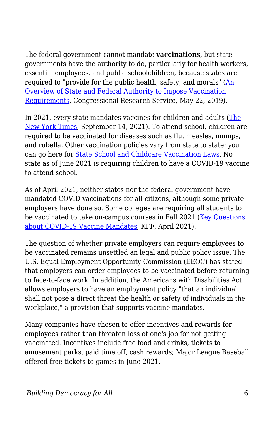The federal government cannot mandate **vaccinations**, but state governments have the authority to do, particularly for health workers, essential employees, and public schoolchildren, because states are required to "provide for the public health, safety, and morals" [\(An](https://fas.org/sgp/crs/misc/LSB10300.pdf) [Overview of State and Federal Authority to Impose Vaccination](https://fas.org/sgp/crs/misc/LSB10300.pdf) [Requirements](https://fas.org/sgp/crs/misc/LSB10300.pdf), Congressional Research Service, May 22, 2019).

In 2021, every state mandates vaccines for children and adults [\(The](https://www.nytimes.com/2021/09/12/us/politics/vaccine-mandates-republicans.html?campaign_id=9&emc=edit_nn_20210915&instance_id=40422&nl=the-morning®i_id=107311066&segment_id=68945&te=1&user_id=8ce044d993bdd968a1727f10429484c0) [New York Times](https://www.nytimes.com/2021/09/12/us/politics/vaccine-mandates-republicans.html?campaign_id=9&emc=edit_nn_20210915&instance_id=40422&nl=the-morning®i_id=107311066&segment_id=68945&te=1&user_id=8ce044d993bdd968a1727f10429484c0), September 14, 2021). To attend school, children are required to be vaccinated for diseases such as flu, measles, mumps, and rubella. Other vaccination policies vary from state to state: you can go here for [State School and Childcare Vaccination Laws](https://www.cdc.gov/phlp/publications/topic/vaccinations.html). No state as of June 2021 is requiring children to have a COVID-19 vaccine to attend school.

As of April 2021, neither states nor the federal government have mandated COVID vaccinations for all citizens, although some private employers have done so. Some colleges are requiring all students to be vaccinated to take on-campus courses in Fall 2021 ([Key Questions](https://www.kff.org/coronavirus-covid-19/issue-brief/key-questions-about-covid-19-vaccine-mandates/) [about COVID-19 Vaccine Mandates,](https://www.kff.org/coronavirus-covid-19/issue-brief/key-questions-about-covid-19-vaccine-mandates/) KFF, April 2021).

The question of whether private employers can require employees to be vaccinated remains unsettled an legal and public policy issue. The U.S. Equal Employment Opportunity Commission (EEOC) has stated that employers can order employees to be vaccinated before returning to face-to-face work. In addition, the Americans with Disabilities Act allows employers to have an employment policy "that an individual shall not pose a direct threat the health or safety of individuals in the workplace," a provision that supports vaccine mandates.

Many companies have chosen to offer incentives and rewards for employees rather than threaten loss of one's job for not getting vaccinated. Incentives include free food and drinks, tickets to amusement parks, paid time off, cash rewards; Major League Baseball offered free tickets to games in June 2021.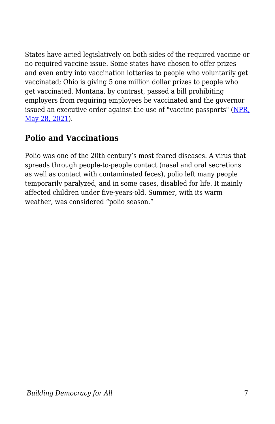States have acted legislatively on both sides of the required vaccine or no required vaccine issue. Some states have chosen to offer prizes and even entry into vaccination lotteries to people who voluntarily get vaccinated; Ohio is giving 5 one million dollar prizes to people who get vaccinated. Montana, by contrast, passed a bill prohibiting employers from requiring employees be vaccinated and the governor issued an executive order against the use of "vaccine passports" [\(NPR,](https://www.npr.org/2021/05/28/1001116485/for-employers-the-law-is-mostly-on-their-side-when-it-comes-to-vaccines) [May 28, 2021\)](https://www.npr.org/2021/05/28/1001116485/for-employers-the-law-is-mostly-on-their-side-when-it-comes-to-vaccines).

## **Polio and Vaccinations**

Polio was one of the 20th century's most feared diseases. A virus that spreads through people-to-people contact (nasal and oral secretions as well as contact with contaminated feces), polio left many people temporarily paralyzed, and in some cases, disabled for life. It mainly affected children under five-years-old. Summer, with its warm weather, was considered "polio season."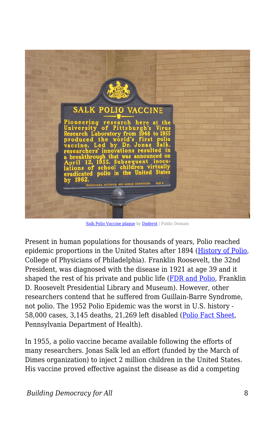

[Salk Polio Vaccine plaque](https://commons.wikimedia.org/wiki/File:Salk_Polio_Vaccine_plaque_-_University_of_Pittsburgh_-_IMG_1435.JPG) by [Daderot](https://commons.wikimedia.org/wiki/User:Daderot) | Public Domain

Present in human populations for thousands of years, Polio reached epidemic proportions in the United States after 1894 ([History of Polio,](https://www.historyofvaccines.org/timeline/polio) College of Physicians of Philadelphia). Franklin Roosevelt, the 32nd President, was diagnosed with the disease in 1921 at age 39 and it shaped the rest of his private and public life [\(FDR and Polio,](https://www.fdrlibrary.org/polio) Franklin D. Roosevelt Presidential Library and Museum). However, other researchers contend that he suffered from Guillain-Barre Syndrome, not polio. The 1952 Polio Epidemic was the worst in U.S. history - 58,000 cases, 3,145 deaths, 21,269 left disabled ([Polio Fact Sheet,](https://www.health.pa.gov/topics/Documents/Diseases%20and%20Conditions/Polio%20.pdf) Pennsylvania Department of Health).

In 1955, a polio vaccine became available following the efforts of many researchers. Jonas Salk led an effort (funded by the March of Dimes organization) to inject 2 million children in the United States. His vaccine proved effective against the disease as did a competing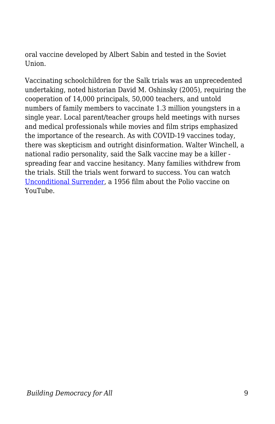oral vaccine developed by Albert Sabin and tested in the Soviet Union.

Vaccinating schoolchildren for the Salk trials was an unprecedented undertaking, noted historian David M. Oshinsky (2005), requiring the cooperation of 14,000 principals, 50,000 teachers, and untold numbers of family members to vaccinate 1.3 million youngsters in a single year. Local parent/teacher groups held meetings with nurses and medical professionals while movies and film strips emphasized the importance of the research. As with COVID-19 vaccines today, there was skepticism and outright disinformation. Walter Winchell, a national radio personality, said the Salk vaccine may be a killer spreading fear and vaccine hesitancy. Many families withdrew from the trials. Still the trials went forward to success. You can watch [Unconditional Surrender](https://www.youtube.com/watch?v=6Nqq1LK9TRI), a 1956 film about the Polio vaccine on YouTube.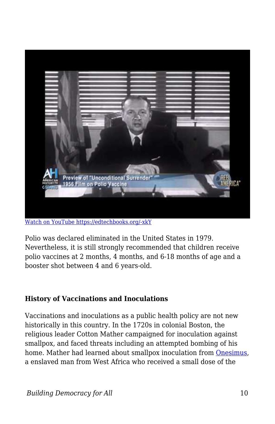

[Watch on YouTube https://edtechbooks.org/-xkY](https://www.youtube.com/embed/6Nqq1LK9TRI?autoplay=1&rel=0&showinfo=0&modestbranding=1)

Polio was declared eliminated in the United States in 1979. Nevertheless, it is still strongly recommended that children receive polio vaccines at 2 months, 4 months, and 6-18 months of age and a booster shot between 4 and 6 years-old.

#### **History of Vaccinations and Inoculations**

Vaccinations and inoculations as a public health policy are not new historically in this country. In the 1720s in colonial Boston, the religious leader Cotton Mather campaigned for inoculation against smallpox, and faced threats including an attempted bombing of his home. Mather had learned about smallpox inoculation from [Onesimus,](https://www.historyofvaccines.org/content/blog/onesimus-smallpox-boston-cotton-mather) a enslaved man from West Africa who received a small dose of the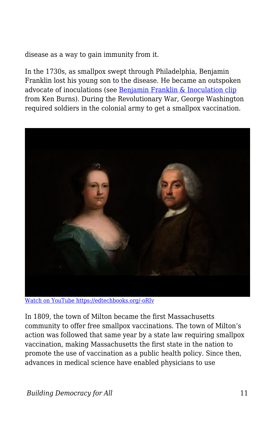disease as a way to gain immunity from it.

In the 1730s, as smallpox swept through Philadelphia, Benjamin Franklin lost his young son to the disease. He became an outspoken advocate of inoculations (see [Benjamin Franklin & Inoculation clip](https://www.youtube.com/watch?v=sGAyD8QU_Wg) from Ken Burns). During the Revolutionary War, George Washington required soldiers in the colonial army to get a smallpox vaccination.



[Watch on YouTube https://edtechbooks.org/-oRIv](https://www.youtube.com/embed/sGAyD8QU_Wg?autoplay=1&rel=0&showinfo=0&modestbranding=1)

In 1809, the town of Milton became the first Massachusetts community to offer free smallpox vaccinations. The town of Milton's action was followed that same year by a state law requiring smallpox vaccination, making Massachusetts the first state in the nation to promote the use of vaccination as a public health policy. Since then, advances in medical science have enabled physicians to use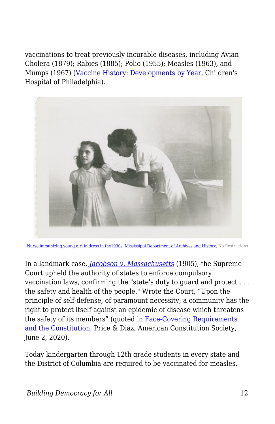vaccinations to treat previously incurable diseases, including Avian Cholera (1879); Rabies (1885); Polio (1955); Measles (1963), and Mumps (1967) [\(Vaccine History: Developments by Year,](https://www.chop.edu/centers-programs/vaccine-education-center/vaccine-history/developments-by-year) Children's Hospital of Philadelphia).



[Nurse immunizing young girl in dress in the1930s](https://commons.wikimedia.org/w/index.php?search=Nurse+immunizing+young+girl+in+dress+in+the1930s&title=Special%3ASearch&go=Go&ns0=1&ns6=1&ns12=1&ns14=1&ns100=1&ns106=1#/media/File:Nurse_immunizing_young_girl_in_dress,_1930), [Mississippi Department of Archives and History](https://www.flickr.com/people/77015680@N05), No Restrictions

In a landmark case, *[Jacobson v. Massachusetts](https://supreme.justia.com/cases/federal/us/197/11/)* (1905), the Supreme Court upheld the authority of states to enforce compulsory vaccination laws, confirming the "state's duty to guard and protect . . . the safety and health of the people." Wrote the Court, "Upon the principle of self-defense, of paramount necessity, a community has the right to protect itself against an epidemic of disease which threatens the safety of its members" (quoted in [Face-Covering Requirements](https://www.acslaw.org/expertforum/face-covering-requirements-and-the-constitution/) [and the Constitution,](https://www.acslaw.org/expertforum/face-covering-requirements-and-the-constitution/) Price & Diaz, American Constitution Society, June 2, 2020).

Today kindergarten through 12th grade students in every state and the District of Columbia are required to be vaccinated for measles,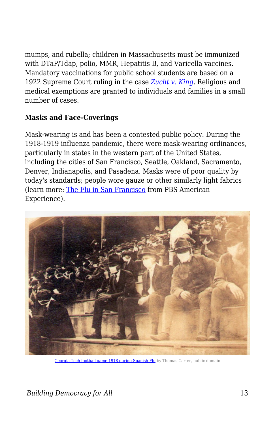mumps, and rubella; children in Massachusetts must be immunized with DTaP/Tdap, polio, MMR, Hepatitis B, and Varicella vaccines. Mandatory vaccinations for public school students are based on a 1922 Supreme Court ruling in the case *[Zucht v. King](https://www.originalsources.com/Document.aspx?DocID=7RLFK14XM3QB5W2)*. Religious and medical exemptions are granted to individuals and families in a small number of cases.

#### **Masks and Face-Coverings**

Mask-wearing is and has been a contested public policy. During the 1918-1919 influenza pandemic, there were mask-wearing ordinances, particularly in states in the western part of the United States, including the cities of San Francisco, Seattle, Oakland, Sacramento, Denver, Indianapolis, and Pasadena. Masks were of poor quality by today's standards; people wore gauze or other similarly light fabrics (learn more: [The Flu in San Francisco](https://www.pbs.org/wgbh/americanexperience/features/influenza-san-francisco/) from PBS American Experience).



[Georgia Tech football game 1918 during Spanish Flu](https://commons.wikimedia.org/wiki/File:Georgia_Tech_football_game_1918_during_Spanish_Flu.jpg) by Thomas Carter, public domain

*Building Democracy for All* 13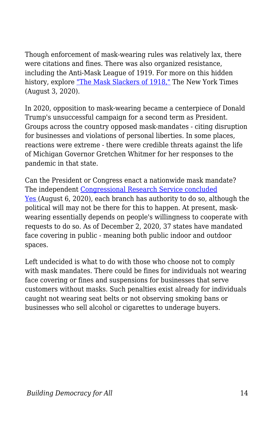Though enforcement of mask-wearing rules was relatively lax, there were citations and fines. There was also organized resistance, including the Anti-Mask League of 1919. For more on this hidden history, explore ["The Mask Slackers of 1918,"](https://www.nytimes.com/2020/08/03/us/mask-protests-1918.html) The New York Times (August 3, 2020).

In 2020, opposition to mask-wearing became a centerpiece of Donald Trump's unsuccessful campaign for a second term as President. Groups across the country opposed mask-mandates - citing disruption for businesses and violations of personal liberties. In some places, reactions were extreme - there were credible threats against the life of Michigan Governor Gretchen Whitmer for her responses to the pandemic in that state.

Can the President or Congress enact a nationwide mask mandate? The independent [Congressional Research Service concluded](https://crsreports.congress.gov/product/pdf/LSB/LSB10530) [Yes \(](https://crsreports.congress.gov/product/pdf/LSB/LSB10530)August 6, 2020), each branch has authority to do so, although the political will may not be there for this to happen. At present, maskwearing essentially depends on people's willingness to cooperate with requests to do so. As of December 2, 2020, 37 states have mandated face covering in public - meaning both public indoor and outdoor spaces.

Left undecided is what to do with those who choose not to comply with mask mandates. There could be fines for individuals not wearing face covering or fines and suspensions for businesses that serve customers without masks. Such penalties exist already for individuals caught not wearing seat belts or not observing smoking bans or businesses who sell alcohol or cigarettes to underage buyers.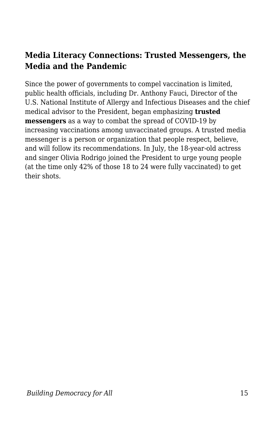## **Media Literacy Connections: Trusted Messengers, the Media and the Pandemic**

Since the power of governments to compel vaccination is limited, public health officials, including Dr. Anthony Fauci, Director of the U.S. National Institute of Allergy and Infectious Diseases and the chief medical advisor to the President, began emphasizing **trusted messengers** as a way to combat the spread of COVID-19 by increasing vaccinations among unvaccinated groups. A trusted media messenger is a person or organization that people respect, believe, and will follow its recommendations. In July, the 18-year-old actress and singer Olivia Rodrigo joined the President to urge young people (at the time only 42% of those 18 to 24 were fully vaccinated) to get their shots.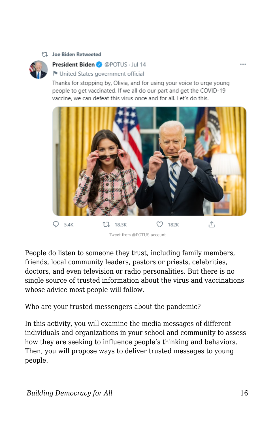#### 17 Joe Biden Retweeted



#### President Biden @ @ POTUS · Jul 14

United States government official

Thanks for stopping by, Olivia, and for using your voice to urge young people to get vaccinated. If we all do our part and get the COVID-19 vaccine, we can defeat this virus once and for all. Let's do this.



Tweet from @POTUS account

People do listen to someone they trust, including family members, friends, local community leaders, pastors or priests, celebrities, doctors, and even television or radio personalities. But there is no single source of trusted information about the virus and vaccinations whose advice most people will follow.

Who are your trusted messengers about the pandemic?

In this activity, you will examine the media messages of different individuals and organizations in your school and community to assess how they are seeking to influence people's thinking and behaviors. Then, you will propose ways to deliver trusted messages to young people.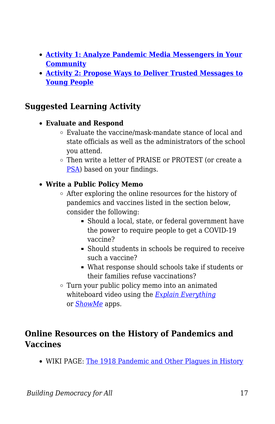- **[Activity 1: Analyze Pandemic Media Messengers in Your](https://edtechbooks.org/mediaandciviclearning/trusted_messengers) [Community](https://edtechbooks.org/mediaandciviclearning/trusted_messengers)**
- **[Activity 2: Propose Ways to Deliver Trusted Messages to](https://edtechbooks.org/mediaandciviclearning/trusted_messengers) [Young People](https://edtechbooks.org/mediaandciviclearning/trusted_messengers)**

## **Suggested Learning Activity**

#### **Evaluate and Respond**

- Evaluate the vaccine/mask-mandate stance of local and state officials as well as the administrators of the school you attend.
- Then write a letter of PRAISE or PROTEST (or create a [PSA\)](https://www.govtech.com/education/news/How-to-Create-the-Perfect-Public-Service-Announcement.html) based on your findings.

### **Write a Public Policy Memo**

- After exploring the online resources for the history of pandemics and vaccines listed in the section below, consider the following:
	- Should a local, state, or federal government have the power to require people to get a COVID-19 vaccine?
	- Should students in schools be required to receive such a vaccine?
	- What response should schools take if students or their families refuse vaccinations?
- Turn your public policy memo into an animated whiteboard video using the *[Explain Everything](https://explaineverything.com/)* or *[ShowMe](https://www.showme.com/)* apps.

### **Online Resources on the History of Pandemics and Vaccines**

WIKI PAGE: [The 1918 Pandemic and Other Plagues in History](http://resourcesforhistoryteachers.pbworks.com/w/page/125069882/The%201918%20Influenza%20Pandemic%20and%20other%20Plagues%20in%20History)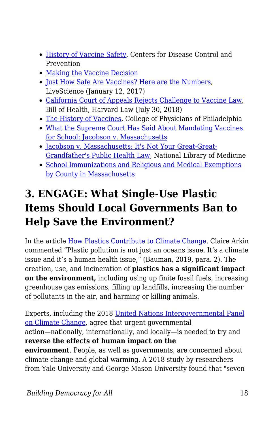- [History of Vaccine Safety,](https://www.cdc.gov/vaccinesafety/ensuringsafety/history/index.html) Centers for Disease Control and Prevention
- [Making the Vaccine Decision](https://www.cdc.gov/vaccines/parents/vaccine-decision/index.html)
- [Just How Safe Are Vaccines? Here are the Numbers,](https://www.livescience.com/57488-vaccine-safety-numbers.html) LiveScience (January 12, 2017)
- [California Court of Appeals Rejects Challenge to Vaccine Law](http://blog.petrieflom.law.harvard.edu/2018/07/30/california-court-of-appeal-rejects-challenge-to-vaccine-law/), Bill of Health, Harvard Law (July 30, 2018)
- [The History of Vaccines,](https://www.historyofvaccines.org) College of Physicians of Philadelphia
- [What the Supreme Court Has Said About Mandating Vaccines](https://www.historyofvaccines.org/content/blog/jacobson-v-massachusetts-reiss) [for School: Jacobson v. Massachusetts](https://www.historyofvaccines.org/content/blog/jacobson-v-massachusetts-reiss)
- [Jacobson v. Massachusetts: It's Not Your Great-Great-](https://www.ncbi.nlm.nih.gov/pmc/articles/PMC1449224/)[Grandfather's Public Health Law](https://www.ncbi.nlm.nih.gov/pmc/articles/PMC1449224/), National Library of Medicine
- [School Immunizations and Religious and Medical Exemptions](https://www.mass.gov/service-details/school-immunizations) [by County in Massachusetts](https://www.mass.gov/service-details/school-immunizations)

## **3. ENGAGE: What Single-Use Plastic Items Should Local Governments Ban to Help Save the Environment?**

In the article [How Plastics Contribute to Climate Change](https://www.yaleclimateconnections.org/2019/08/how-plastics-contribute-to-climate-change/), Claire Arkin commented "Plastic pollution is not just an oceans issue. It's a climate issue and it's a human health issue," (Bauman, 2019, para. 2). The creation, use, and incineration of **plastics has a significant impact on the environment,** including using up finite fossil fuels, increasing greenhouse gas emissions, filling up landfills, increasing the number of pollutants in the air, and harming or killing animals.

Experts, including the 2018 [United Nations Intergovernmental Panel](https://www.ipcc.ch) [on Climate Change](https://www.ipcc.ch), agree that urgent governmental action—nationally, internationally, and locally—is needed to try and **reverse the effects of human impact on the environment**. People, as well as governments, are concerned about climate change and global warming. A 2018 study by researchers from Yale University and George Mason University found that "seven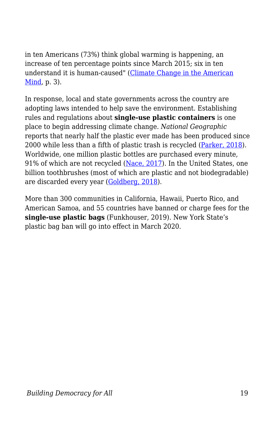in ten Americans (73%) think global warming is happening, an increase of ten percentage points since March 2015; six in ten understand it is human-caused" [\(Climate Change in the American](https://climatecommunication.yale.edu/wp-content/uploads/2019/01/Climate-Change-American-Mind-December-2018.pdf)  $Mind$ , p. 3).</u>

In response, local and state governments across the country are adopting laws intended to help save the environment. Establishing rules and regulations about **single-use plastic containers** is one place to begin addressing climate change. *National Geographic* reports that nearly half the plastic ever made has been produced since 2000 while less than a fifth of plastic trash is recycled ([Parker, 2018\)](https://www.nationalgeographic.com/news/2018/05/plastics-facts-infographics-ocean-pollution/). Worldwide, one million plastic bottles are purchased every minute, 91% of which are not recycled [\(Nace, 2017](https://www.forbes.com/sites/trevornace/2017/07/26/million-plastic-bottles-minute-91-not-recycled/#2ad02ed2292c)). In the United States, one billion toothbrushes (most of which are plastic and not biodegradable) are discarded every year ([Goldberg, 2018\)](https://medium.com/the-whole-family-happiness-project/changing-the-world-one-toothbrush-at-a-time-6aa3f7926b48).

More than 300 communities in California, Hawaii, Puerto Rico, and American Samoa, and 55 countries have banned or charge fees for the **single-use plastic bags** (Funkhouser, 2019). New York State's plastic bag ban will go into effect in March 2020.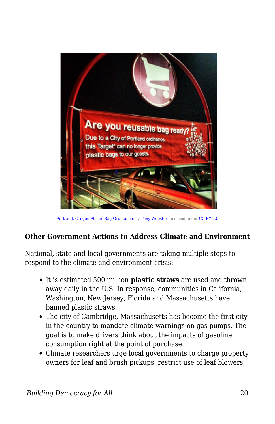

[Portland, Oregon Plastic Bag Ordinance](https://commons.wikimedia.org/w/index.php?search=Portland%2C+Oregon+Plastic+Bag+Ordinance&title=Special%3ASearch&go=Go&ns0=1&ns6=1&ns12=1&ns14=1&ns100=1&ns106=1#/media/File:Are_you_reusable_bag_ready_-_Target_Portland_plastic_bag_ban_ordinance_(16803680204).jpg), by [Tony Webster](https://www.flickr.com/people/87296837@N00), licensed under [CC BY 2.0](https://creativecommons.org/licenses/by/2.0)

## **Other Government Actions to Address Climate and Environment**

National, state and local governments are taking multiple steps to respond to the climate and environment crisis:

- It is estimated 500 million **plastic straws** are used and thrown away daily in the U.S. In response, communities in California, Washington, New Jersey, Florida and Massachusetts have banned plastic straws.
- The city of Cambridge, Massachusetts has become the first city in the country to mandate climate warnings on gas pumps. The goal is to make drivers think about the impacts of gasoline consumption right at the point of purchase.
- Climate researchers urge local governments to charge property owners for leaf and brush pickups, restrict use of leaf blowers,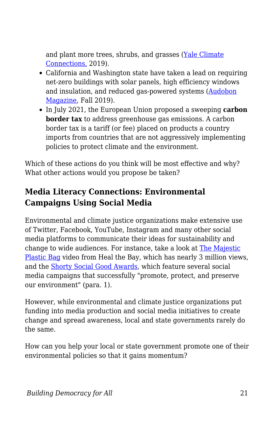and plant more trees, shrubs, and grasses ([Yale Climate](https://yaleclimateconnections.org/2019/06/state-and-local-governments-seeking-climate-change-solutions-have-plenty-of-options/) [Connections,](https://yaleclimateconnections.org/2019/06/state-and-local-governments-seeking-climate-change-solutions-have-plenty-of-options/) 2019).

- California and Washington state have taken a lead on requiring net-zero buildings with solar panels, high efficiency windows and insulation, and reduced gas-powered systems [\(Audobon](https://www.audubon.org/magazine/fall-2019/how-state-and-local-governments-are-leading-way) [Magazine](https://www.audubon.org/magazine/fall-2019/how-state-and-local-governments-are-leading-way), Fall 2019).
- In July 2021, the European Union proposed a sweeping **carbon border tax** to address greenhouse gas emissions. A carbon border tax is a tariff (or fee) placed on products a country imports from countries that are not aggressively implementing policies to protect climate and the environment.

Which of these actions do you think will be most effective and why? What other actions would you propose be taken?

## **Media Literacy Connections: Environmental Campaigns Using Social Media**

Environmental and climate justice organizations make extensive use of Twitter, Facebook, YouTube, Instagram and many other social media platforms to communicate their ideas for sustainability and change to wide audiences. For instance, take a look at [The Majestic](https://www.youtube.com/watch?v=GLgh9h2ePYw&t=21s) [Plastic Bag](https://www.youtube.com/watch?v=GLgh9h2ePYw&t=21s) video from Heal the Bay, which has nearly 3 million views, and the [Shorty Social Good Awards](https://shortyawards.com/category/2nd-socialgood/env-sustainability), which feature several social media campaigns that successfully "promote, protect, and preserve our environment" (para. 1).

However, while environmental and climate justice organizations put funding into media production and social media initiatives to create change and spread awareness, local and state governments rarely do the same.

How can you help your local or state government promote one of their environmental policies so that it gains momentum?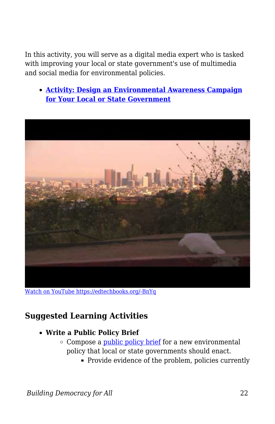In this activity, you will serve as a digital media expert who is tasked with improving your local or state government's use of multimedia and social media for environmental policies.

**[Activity: Design an Environmental Awareness Campaign](https://edtechbooks.org/mediaandciviclearning/environmental_campaign) [for Your Local or State Government](https://edtechbooks.org/mediaandciviclearning/environmental_campaign)**



[Watch on YouTube https://edtechbooks.org/-BnYq](https://www.youtube.com/embed/GLgh9h2ePYw?autoplay=1&rel=0&showinfo=0&modestbranding=1)

### **Suggested Learning Activities**

- **Write a Public Policy Brief**
	- $\circ$  Compose a [public policy brief](https://writingcenter.unc.edu/tips-and-tools/policy-briefs/) for a new environmental policy that local or state governments should enact.
		- Provide evidence of the problem, policies currently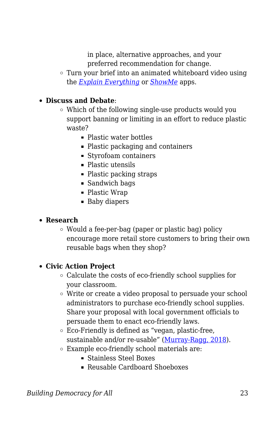in place, alternative approaches, and your preferred recommendation for change.

Turn your brief into an animated whiteboard video using the *[Explain Everything](https://explaineverything.com/)* or *[ShowMe](https://www.showme.com/)* apps.

#### **Discuss and Debate**:

- Which of the following single-use products would you support banning or limiting in an effort to reduce plastic waste?
	- Plastic water bottles
	- Plastic packaging and containers
	- Styrofoam containers
	- Plastic utensils
	- Plastic packing straps
	- Sandwich bags
	- Plastic Wrap
	- **Baby diapers**

#### **Research**

Would a fee-per-bag (paper or plastic bag) policy encourage more retail store customers to bring their own reusable bags when they shop?

#### **Civic Action Project**

- Calculate the costs of eco-friendly school supplies for your classroom.
- Write or create a video proposal to persuade your school administrators to purchase eco-friendly school supplies. Share your proposal with local government officials to persuade them to enact eco-friendly laws.
- Eco-Friendly is defined as "vegan, plastic-free, sustainable and/or re-usable" ([Murray-Ragg, 2018](https://www.livekindly.co/17-vegan-eco-friendly-school-supplies/)).
- Example eco-friendly school materials are:
	- Stainless Steel Boxes
	- Reusable Cardboard Shoeboxes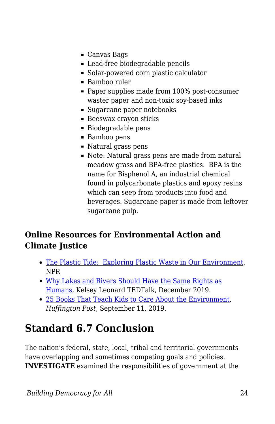- Canvas Bags
- Lead-free biodegradable pencils
- Solar-powered corn plastic calculator
- Bamboo ruler
- Paper supplies made from 100% post-consumer waster paper and non-toxic soy-based inks
- Sugarcane paper notebooks
- Beeswax crayon sticks
- Biodegradable pens
- Bamboo pens
- Natural grass pens
- Note: Natural grass pens are made from natural meadow grass and BPA-free plastics. BPA is the name for Bisphenol A, an industrial chemical found in polycarbonate plastics and epoxy resins which can seep from products into food and beverages. Sugarcane paper is made from leftover sugarcane pulp.

## **Online Resources for Environmental Action and Climate Justice**

- [The Plastic Tide: Exploring Plastic Waste in Our Environment,](https://www.npr.org/series/684530164/the-plastic-tide) NPR
- [Why Lakes and Rivers Should Have the Same Rights as](https://www.ted.com/talks/kelsey_leonard_why_lakes_and_rivers_should_have_the_same_rights_as_humans?language=en) [Humans,](https://www.ted.com/talks/kelsey_leonard_why_lakes_and_rivers_should_have_the_same_rights_as_humans?language=en) Kelsey Leonard TEDTalk, December 2019.
- [25 Books That Teach Kids to Care About the Environment,](https://www.huffpost.com/entry/childrens-books-environment_l_5d66f45de4b063c341fa409c?fbclid=IwAR3Lluhq9j_FYE1SFGm3z0Zy6CWnbRRopIndRZnTBpJJ0mb7v48d8Ao8ec0) *Huffington Post*, September 11, 2019.

## **Standard 6.7 Conclusion**

The nation's federal, state, local, tribal and territorial governments have overlapping and sometimes competing goals and policies. **INVESTIGATE** examined the responsibilities of government at the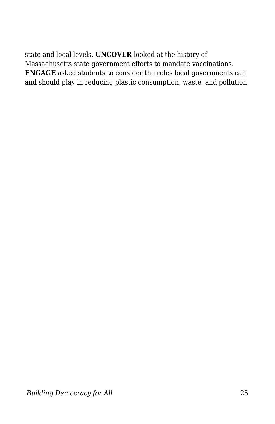state and local levels. **UNCOVER** looked at the history of Massachusetts state government efforts to mandate vaccinations. **ENGAGE** asked students to consider the roles local governments can and should play in reducing plastic consumption, waste, and pollution.